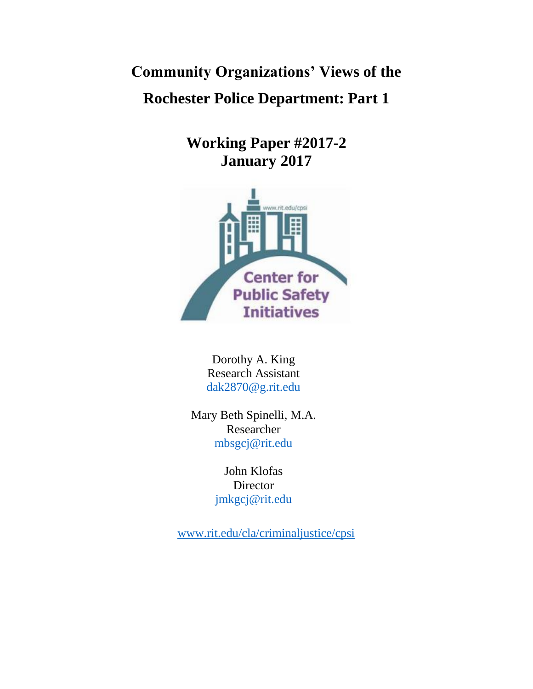**Community Organizations' Views of the Rochester Police Department: Part 1**

> **Working Paper #2017-2 January 2017**



Dorothy A. King Research Assistant [dak2870@g.rit.edu](mailto:dak2870@g.rit.edu)

Mary Beth Spinelli, M.A. Researcher [mbsgcj@rit.edu](mailto:mbsgcj@rit.edu)

> John Klofas Director [jmkgcj@rit.edu](mailto:jmkgcj@rit.edu)

[www.rit.edu/cla/criminaljustice/cpsi](http://www.rit.edu/cla/criminaljustice/cpsi)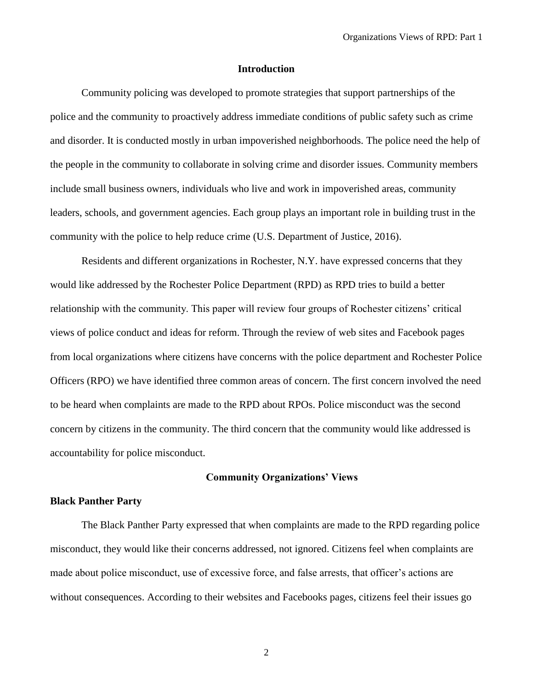# **Introduction**

Community policing was developed to promote strategies that support partnerships of the police and the community to proactively address immediate conditions of public safety such as crime and disorder. It is conducted mostly in urban impoverished neighborhoods. The police need the help of the people in the community to collaborate in solving crime and disorder issues. Community members include small business owners, individuals who live and work in impoverished areas, community leaders, schools, and government agencies. Each group plays an important role in building trust in the community with the police to help reduce crime (U.S. Department of Justice, 2016).

Residents and different organizations in Rochester, N.Y. have expressed concerns that they would like addressed by the Rochester Police Department (RPD) as RPD tries to build a better relationship with the community. This paper will review four groups of Rochester citizens' critical views of police conduct and ideas for reform. Through the review of web sites and Facebook pages from local organizations where citizens have concerns with the police department and Rochester Police Officers (RPO) we have identified three common areas of concern. The first concern involved the need to be heard when complaints are made to the RPD about RPOs. Police misconduct was the second concern by citizens in the community. The third concern that the community would like addressed is accountability for police misconduct.

# **Community Organizations' Views**

# **Black Panther Party**

The Black Panther Party expressed that when complaints are made to the RPD regarding police misconduct, they would like their concerns addressed, not ignored. Citizens feel when complaints are made about police misconduct, use of excessive force, and false arrests, that officer's actions are without consequences. According to their websites and Facebooks pages, citizens feel their issues go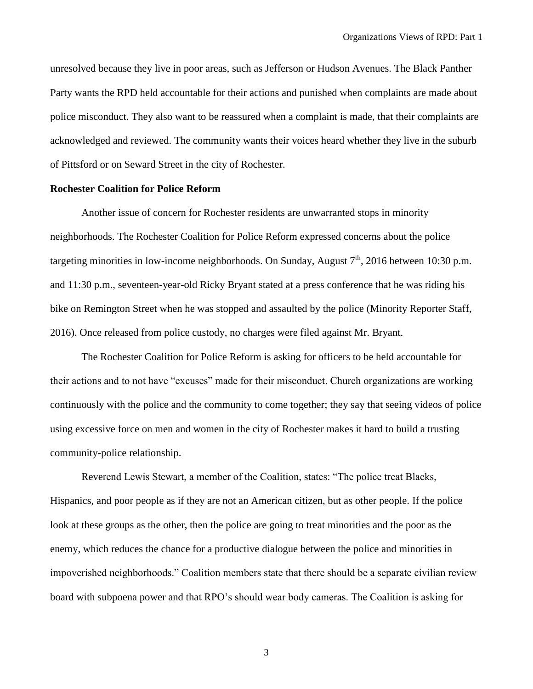unresolved because they live in poor areas, such as Jefferson or Hudson Avenues. The Black Panther Party wants the RPD held accountable for their actions and punished when complaints are made about police misconduct. They also want to be reassured when a complaint is made, that their complaints are acknowledged and reviewed. The community wants their voices heard whether they live in the suburb of Pittsford or on Seward Street in the city of Rochester.

# **Rochester Coalition for Police Reform**

Another issue of concern for Rochester residents are unwarranted stops in minority neighborhoods. The Rochester Coalition for Police Reform expressed concerns about the police targeting minorities in low-income neighborhoods. On Sunday, August  $7<sup>th</sup>$ , 2016 between 10:30 p.m. and 11:30 p.m., seventeen-year-old Ricky Bryant stated at a press conference that he was riding his bike on Remington Street when he was stopped and assaulted by the police (Minority Reporter Staff, 2016). Once released from police custody, no charges were filed against Mr. Bryant.

The Rochester Coalition for Police Reform is asking for officers to be held accountable for their actions and to not have "excuses" made for their misconduct. Church organizations are working continuously with the police and the community to come together; they say that seeing videos of police using excessive force on men and women in the city of Rochester makes it hard to build a trusting community-police relationship.

Reverend Lewis Stewart, a member of the Coalition, states: "The police treat Blacks, Hispanics, and poor people as if they are not an American citizen, but as other people. If the police look at these groups as the other, then the police are going to treat minorities and the poor as the enemy, which reduces the chance for a productive dialogue between the police and minorities in impoverished neighborhoods." Coalition members state that there should be a separate civilian review board with subpoena power and that RPO's should wear body cameras. The Coalition is asking for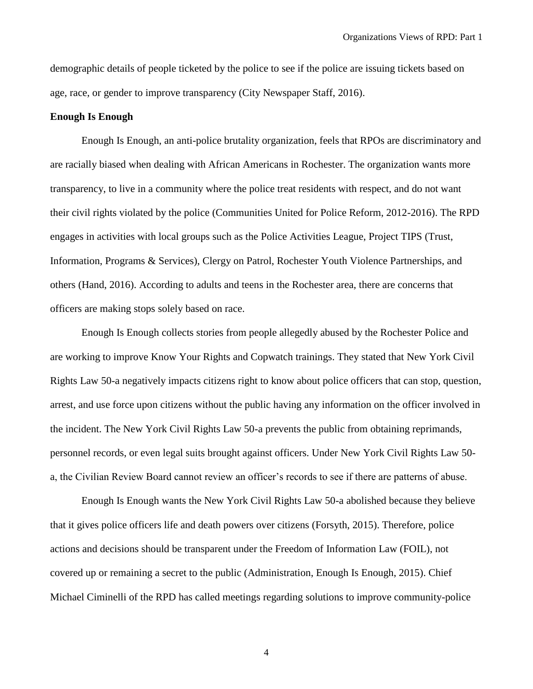demographic details of people ticketed by the police to see if the police are issuing tickets based on age, race, or gender to improve transparency (City Newspaper Staff, 2016).

# **Enough Is Enough**

Enough Is Enough, an anti-police brutality organization, feels that RPOs are discriminatory and are racially biased when dealing with African Americans in Rochester. The organization wants more transparency, to live in a community where the police treat residents with respect, and do not want their civil rights violated by the police (Communities United for Police Reform, 2012-2016). The RPD engages in activities with local groups such as the Police Activities League, Project TIPS (Trust, Information, Programs & Services), Clergy on Patrol, Rochester Youth Violence Partnerships, and others (Hand, 2016). According to adults and teens in the Rochester area, there are concerns that officers are making stops solely based on race.

Enough Is Enough collects stories from people allegedly abused by the Rochester Police and are working to improve Know Your Rights and Copwatch trainings. They stated that [New York Civil](http://rochester.indymedia.org/node/146979)  [Rights Law 50-a](http://rochester.indymedia.org/node/146979) negatively impacts citizens right to know about police officers that can stop, question, arrest, and use force upon citizens without the public having any information on the officer involved in the incident. The [New York Civil Rights Law 50-a](http://rochester.indymedia.org/node/146979) prevents the public from obtaining reprimands, personnel records, or even legal suits brought against officers. Under [New York Civil Rights Law 50](http://rochester.indymedia.org/node/146979) [a,](http://rochester.indymedia.org/node/146979) the Civilian Review Board cannot review an officer's records to see if there are patterns of abuse.

Enough Is Enough wants the [New York Civil Rights Law 50-a](http://rochester.indymedia.org/node/146979) abolished because they believe that it gives police officers life and death powers over citizens (Forsyth, 2015). Therefore, police actions and decisions should be transparent under the Freedom of Information Law (FOIL), not covered up or remaining a secret to the public (Administration, Enough Is Enough, 2015). Chief Michael Ciminelli of the RPD has called meetings regarding solutions to improve community-police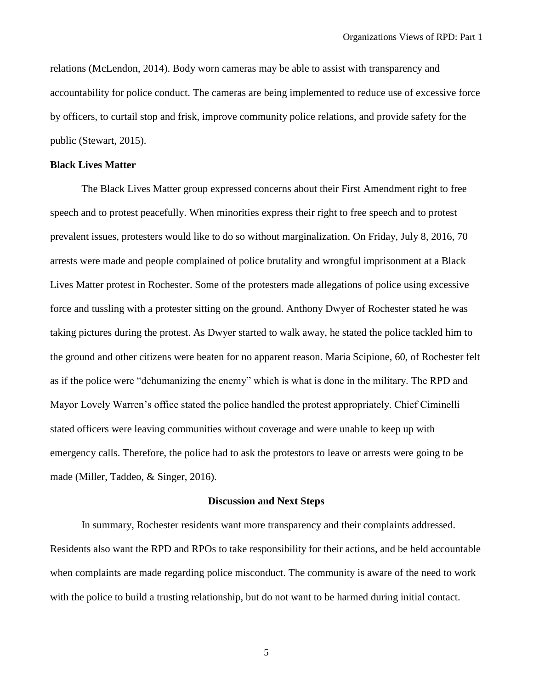relations (McLendon, 2014). Body worn cameras may be able to assist with transparency and accountability for police conduct. The cameras are being implemented to reduce use of excessive force by officers, to curtail stop and frisk, improve community police relations, and provide safety for the public (Stewart, 2015).

# **Black Lives Matter**

The Black Lives Matter group expressed concerns about their First Amendment right to free speech and to protest peacefully. When minorities express their right to free speech and to protest prevalent issues, protesters would like to do so without marginalization. On Friday, July 8, 2016, 70 arrests were made and people complained of police brutality and wrongful imprisonment at a Black Lives Matter protest in Rochester. Some of the protesters made allegations of police using excessive force and tussling with a protester sitting on the ground. Anthony Dwyer of Rochester stated he was taking pictures during the protest. As Dwyer started to walk away, he stated the police tackled him to the ground and other citizens were beaten for no apparent reason. Maria Scipione, 60, of Rochester felt as if the police were "dehumanizing the enemy" which is what is done in the military. The RPD and Mayor Lovely Warren's office stated the police handled the protest appropriately. Chief Ciminelli stated officers were leaving communities without coverage and were unable to keep up with emergency calls. Therefore, the police had to ask the protestors to leave or arrests were going to be made (Miller, Taddeo, & Singer, 2016).

#### **Discussion and Next Steps**

In summary, Rochester residents want more transparency and their complaints addressed. Residents also want the RPD and RPOs to take responsibility for their actions, and be held accountable when complaints are made regarding police misconduct. The community is aware of the need to work with the police to build a trusting relationship, but do not want to be harmed during initial contact.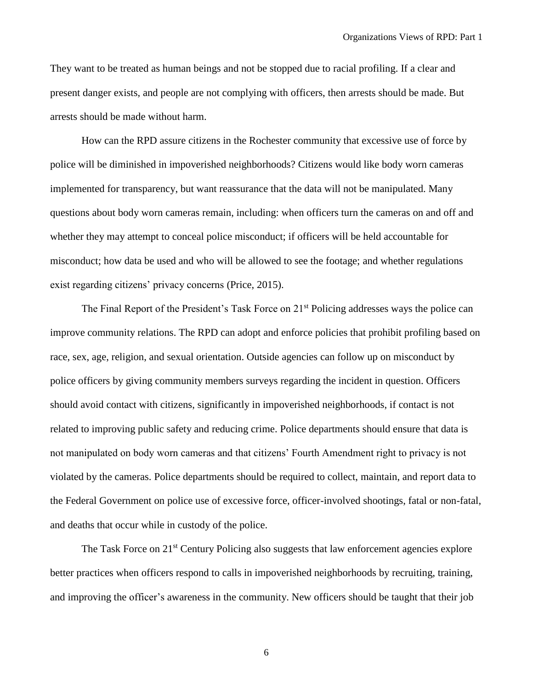They want to be treated as human beings and not be stopped due to racial profiling. If a clear and present danger exists, and people are not complying with officers, then arrests should be made. But arrests should be made without harm.

How can the RPD assure citizens in the Rochester community that excessive use of force by police will be diminished in impoverished neighborhoods? Citizens would like body worn cameras implemented for transparency, but want reassurance that the data will not be manipulated. Many questions about body worn cameras remain, including: when officers turn the cameras on and off and whether they may attempt to conceal police misconduct; if officers will be held accountable for misconduct; how data be used and who will be allowed to see the footage; and whether regulations exist regarding citizens' privacy concerns (Price, 2015).

The Final Report of the President's Task Force on 21<sup>st</sup> Policing addresses ways the police can improve community relations. The RPD can adopt and enforce policies that prohibit profiling based on race, sex, age, religion, and sexual orientation. Outside agencies can follow up on misconduct by police officers by giving community members surveys regarding the incident in question. Officers should avoid contact with citizens, significantly in impoverished neighborhoods, if contact is not related to improving public safety and reducing crime. Police departments should ensure that data is not manipulated on body worn cameras and that citizens' Fourth Amendment right to privacy is not violated by the cameras. Police departments should be required to collect, maintain, and report data to the Federal Government on police use of excessive force, officer-involved shootings, fatal or non-fatal, and deaths that occur while in custody of the police.

The Task Force on 21<sup>st</sup> Century Policing also suggests that law enforcement agencies explore better practices when officers respond to calls in impoverished neighborhoods by recruiting, training, and improving the officer's awareness in the community. New officers should be taught that their job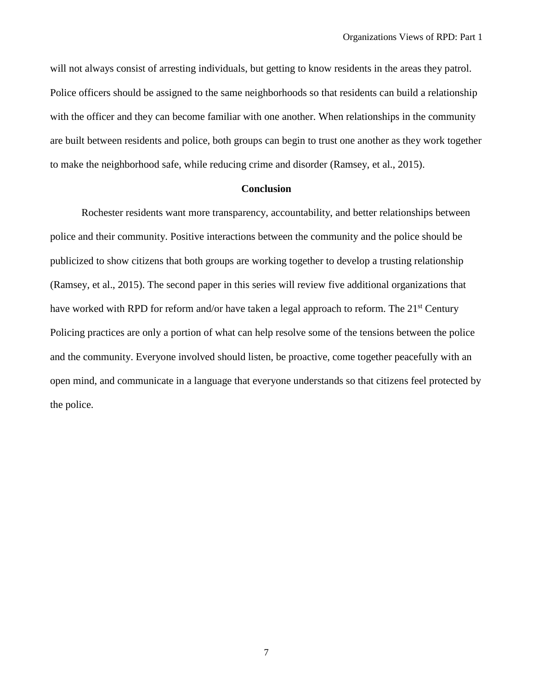will not always consist of arresting individuals, but getting to know residents in the areas they patrol. Police officers should be assigned to the same neighborhoods so that residents can build a relationship with the officer and they can become familiar with one another. When relationships in the community are built between residents and police, both groups can begin to trust one another as they work together to make the neighborhood safe, while reducing crime and disorder (Ramsey, et al., 2015).

## **Conclusion**

Rochester residents want more transparency, accountability, and better relationships between police and their community. Positive interactions between the community and the police should be publicized to show citizens that both groups are working together to develop a trusting relationship (Ramsey, et al., 2015). The second paper in this series will review five additional organizations that have worked with RPD for reform and/or have taken a legal approach to reform. The 21<sup>st</sup> Century Policing practices are only a portion of what can help resolve some of the tensions between the police and the community. Everyone involved should listen, be proactive, come together peacefully with an open mind, and communicate in a language that everyone understands so that citizens feel protected by the police.